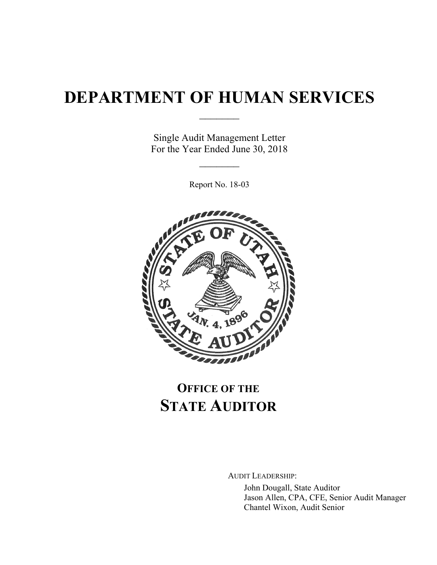# **DEPARTMENT OF HUMAN SERVICES**

 $\frac{1}{2}$ 

Single Audit Management Letter For the Year Ended June 30, 2018

 $\frac{1}{2}$ 

Report No. 18-03



## **OFFICE OF THE STATE AUDITOR**

AUDIT LEADERSHIP:

John Dougall, State Auditor Jason Allen, CPA, CFE, Senior Audit Manager Chantel Wixon, Audit Senior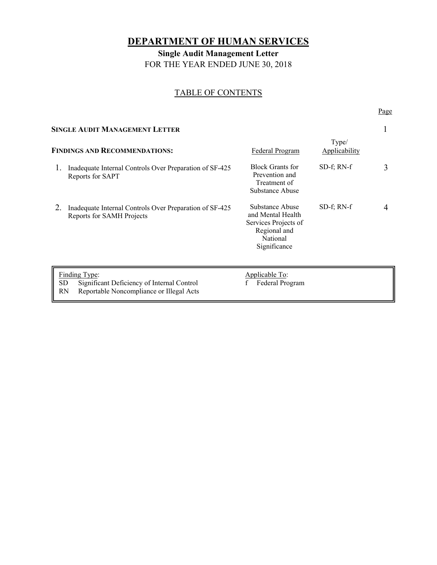## **DEPARTMENT OF HUMAN SERVICES**

**Single Audit Management Letter**  FOR THE YEAR ENDED JUNE 30, 2018

#### TABLE OF CONTENTS

Page **Page** 

| SINGLE AUDIT MANAGEMENT LETTER                                                                                             |                                                                                      |                                                                                                          |                  |   |
|----------------------------------------------------------------------------------------------------------------------------|--------------------------------------------------------------------------------------|----------------------------------------------------------------------------------------------------------|------------------|---|
| Type/<br><b>FINDINGS AND RECOMMENDATIONS:</b><br>Federal Program<br><b>Applicability</b>                                   |                                                                                      |                                                                                                          |                  |   |
|                                                                                                                            | Inadequate Internal Controls Over Preparation of SF-425<br>Reports for SAPT          | <b>Block Grants for</b><br>Prevention and<br>Treatment of<br>Substance Abuse                             | $SD-f$ ; RN- $f$ | 3 |
| 2.                                                                                                                         | Inadequate Internal Controls Over Preparation of SF-425<br>Reports for SAMH Projects | Substance Abuse<br>and Mental Health<br>Services Projects of<br>Regional and<br>National<br>Significance | $SD-f$ ; RN- $f$ | 4 |
| Finding Type:<br><b>SD</b><br>Significant Deficiency of Internal Control<br>Reportable Noncompliance or Illegal Acts<br>RN |                                                                                      | Applicable To:<br>Federal Program                                                                        |                  |   |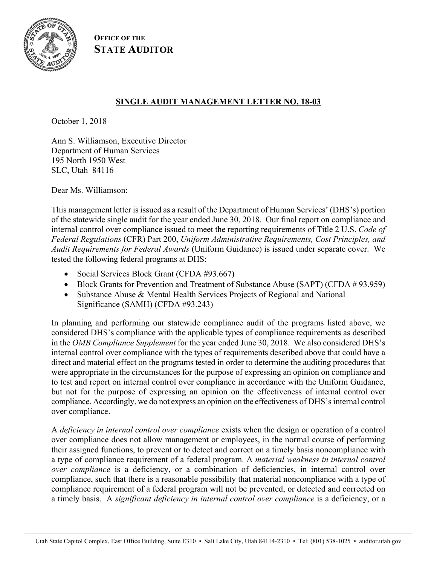

**OFFICE OF THE STATE AUDITOR**

#### **SINGLE AUDIT MANAGEMENT LETTER NO. 18-03**

October 1, 2018

Ann S. Williamson, Executive Director Department of Human Services 195 North 1950 West SLC, Utah 84116

Dear Ms. Williamson:

This management letter is issued as a result of the Department of Human Services' (DHS's) portion of the statewide single audit for the year ended June 30, 2018. Our final report on compliance and internal control over compliance issued to meet the reporting requirements of Title 2 U.S. *Code of Federal Regulations* (CFR) Part 200, *Uniform Administrative Requirements, Cost Principles, and Audit Requirements for Federal Awards* (Uniform Guidance) is issued under separate cover. We tested the following federal programs at DHS:

- Social Services Block Grant (CFDA #93.667)
- Block Grants for Prevention and Treatment of Substance Abuse (SAPT) (CFDA # 93.959)
- Substance Abuse & Mental Health Services Projects of Regional and National Significance (SAMH) (CFDA #93.243)

In planning and performing our statewide compliance audit of the programs listed above, we considered DHS's compliance with the applicable types of compliance requirements as described in the *OMB Compliance Supplement* for the year ended June 30, 2018. We also considered DHS's internal control over compliance with the types of requirements described above that could have a direct and material effect on the programs tested in order to determine the auditing procedures that were appropriate in the circumstances for the purpose of expressing an opinion on compliance and to test and report on internal control over compliance in accordance with the Uniform Guidance, but not for the purpose of expressing an opinion on the effectiveness of internal control over compliance. Accordingly, we do not express an opinion on the effectiveness of DHS's internal control over compliance.

A *deficiency in internal control over compliance* exists when the design or operation of a control over compliance does not allow management or employees, in the normal course of performing their assigned functions, to prevent or to detect and correct on a timely basis noncompliance with a type of compliance requirement of a federal program. A *material weakness in internal control over compliance* is a deficiency, or a combination of deficiencies, in internal control over compliance, such that there is a reasonable possibility that material noncompliance with a type of compliance requirement of a federal program will not be prevented, or detected and corrected on a timely basis. A *significant deficiency in internal control over compliance* is a deficiency, or a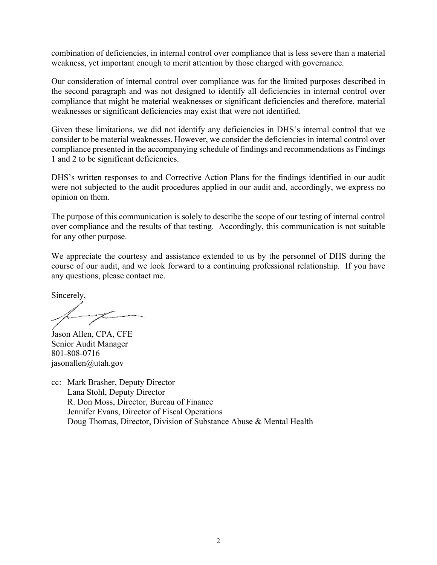combination of deficiencies, in internal control over compliance that is less severe than a material weakness, yet important enough to merit attention by those charged with governance.

Our consideration of internal control over compliance was for the limited purposes described in the second paragraph and was not designed to identify all deficiencies in internal control over compliance that might be material weaknesses or significant deficiencies and therefore, material weaknesses or significant deficiencies may exist that were not identified.

Given these limitations, we did not identify any deficiencies in DHS's internal control that we consider to be material weaknesses. However, we consider the deficiencies in internal control over compliance presented in the accompanying schedule of findings and recommendations as Findings 1 and 2 to be significant deficiencies.

DHS's written responses to and Corrective Action Plans for the findings identified in our audit were not subjected to the audit procedures applied in our audit and, accordingly, we express no opinion on them.

The purpose of this communication is solely to describe the scope of our testing of internal control over compliance and the results of that testing. Accordingly, this communication is not suitable for any other purpose.

We appreciate the courtesy and assistance extended to us by the personnel of DHS during the course of our audit, and we look forward to a continuing professional relationship. If you have any questions, please contact me.

Sincerely,

Jason Allen, CPA, CFE Senior Audit Manager 801-808-0716 jasonallen@utah.gov

cc: Mark Brasher, Deputy Director Lana Stohl, Deputy Director R. Don Moss, Director, Bureau of Finance Jennifer Evans, Director of Fiscal Operations Doug Thomas, Director, Division of Substance Abuse & Mental Health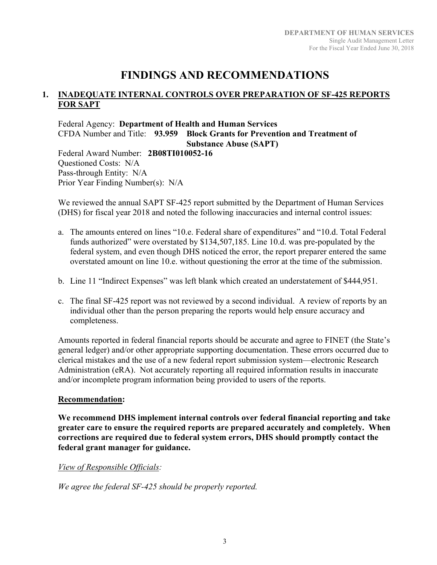## **FINDINGS AND RECOMMENDATIONS**

#### **1. INADEQUATE INTERNAL CONTROLS OVER PREPARATION OF SF-425 REPORTS FOR SAPT**

Federal Agency: **Department of Health and Human Services**  CFDA Number and Title: **93.959 Block Grants for Prevention and Treatment of Substance Abuse (SAPT)** 

Federal Award Number: **2B08TI010052-16**  Questioned Costs: N/A Pass-through Entity: N/A Prior Year Finding Number(s): N/A

We reviewed the annual SAPT SF-425 report submitted by the Department of Human Services (DHS) for fiscal year 2018 and noted the following inaccuracies and internal control issues:

- a. The amounts entered on lines "10.e. Federal share of expenditures" and "10.d. Total Federal funds authorized" were overstated by \$134,507,185. Line 10.d. was pre-populated by the federal system, and even though DHS noticed the error, the report preparer entered the same overstated amount on line 10.e. without questioning the error at the time of the submission.
- b. Line 11 "Indirect Expenses" was left blank which created an understatement of \$444,951.
- c. The final SF-425 report was not reviewed by a second individual. A review of reports by an individual other than the person preparing the reports would help ensure accuracy and completeness.

Amounts reported in federal financial reports should be accurate and agree to FINET (the State's general ledger) and/or other appropriate supporting documentation. These errors occurred due to clerical mistakes and the use of a new federal report submission system—electronic Research Administration (eRA). Not accurately reporting all required information results in inaccurate and/or incomplete program information being provided to users of the reports.

#### **Recommendation:**

**We recommend DHS implement internal controls over federal financial reporting and take greater care to ensure the required reports are prepared accurately and completely. When corrections are required due to federal system errors, DHS should promptly contact the federal grant manager for guidance.** 

*View of Responsible Officials:* 

*We agree the federal SF-425 should be properly reported.*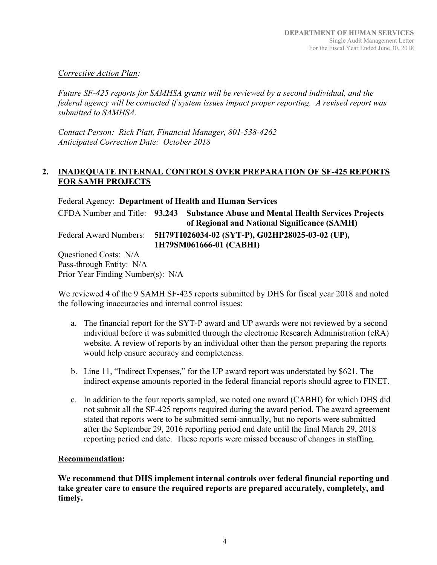#### *Corrective Action Plan:*

*Future SF-425 reports for SAMHSA grants will be reviewed by a second individual, and the federal agency will be contacted if system issues impact proper reporting. A revised report was submitted to SAMHSA.* 

*Contact Person: Rick Platt, Financial Manager, 801-538-4262 Anticipated Correction Date: October 2018* 

#### **2. INADEQUATE INTERNAL CONTROLS OVER PREPARATION OF SF-425 REPORTS FOR SAMH PROJECTS**

Federal Agency: **Department of Health and Human Services**  CFDA Number and Title: **93.243 Substance Abuse and Mental Health Services Projects of Regional and National Significance (SAMH)**  Federal Award Numbers: **5H79TI026034-02 (SYT-P), G02HP28025-03-02 (UP), 1H79SM061666-01 (CABHI)** Questioned Costs: N/A Pass-through Entity: N/A Prior Year Finding Number(s): N/A

We reviewed 4 of the 9 SAMH SF-425 reports submitted by DHS for fiscal year 2018 and noted the following inaccuracies and internal control issues:

- a. The financial report for the SYT-P award and UP awards were not reviewed by a second individual before it was submitted through the electronic Research Administration (eRA) website. A review of reports by an individual other than the person preparing the reports would help ensure accuracy and completeness.
- b. Line 11, "Indirect Expenses," for the UP award report was understated by \$621. The indirect expense amounts reported in the federal financial reports should agree to FINET.
- c. In addition to the four reports sampled, we noted one award (CABHI) for which DHS did not submit all the SF-425 reports required during the award period. The award agreement stated that reports were to be submitted semi-annually, but no reports were submitted after the September 29, 2016 reporting period end date until the final March 29, 2018 reporting period end date. These reports were missed because of changes in staffing.

#### **Recommendation:**

**We recommend that DHS implement internal controls over federal financial reporting and take greater care to ensure the required reports are prepared accurately, completely, and timely.**